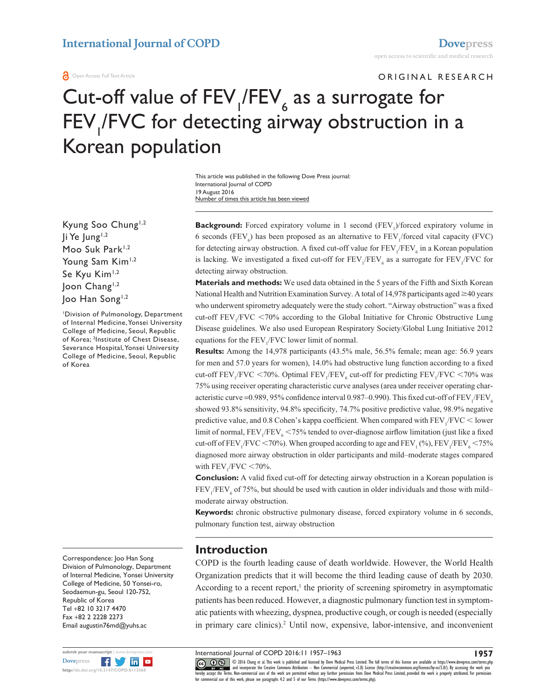Korean population

#### **O** Open Access Full Text Article

# ORIGINAL RESEARCH Cut-off value of  $FEV$ <sub>1</sub>/FEV<sub>6</sub> as a surrogate for FEV<sub>I</sub>/FVC for detecting airway obstruction in a

Number of times this article has been viewed This article was published in the following Dove Press journal: International Journal of COPD 19 August 2016

Kyung Soo Chung<sup>1,2</sup>  $\mathsf{I}$ i Ye Jung<sup>1,2</sup> Moo Suk Park<sup>1,2</sup> Young Sam Kim<sup>1,2</sup> Se Kyu Kim<sup>1,2</sup> Joon Chang<sup>1,2</sup> Joo Han Song<sup>1,2</sup>

1 Division of Pulmonology, Department of Internal Medicine, Yonsei University College of Medicine, Seoul, Republic of Korea; <sup>2</sup>Institute of Chest Disease, Severance Hospital, Yonsei University College of Medicine, Seoul, Republic of Korea

Correspondence: Joo Han Song Division of Pulmonology, Department of Internal Medicine, Yonsei University College of Medicine, 50 Yonsei-ro, Seodaemun-gu, Seoul 120-752, Republic of Korea Tel +82 10 3217 4470 Fax +82 2 2228 2273 Email [augustin76md@yuhs.ac](mailto:augustin76md@yuhs.ac)



**Background:** Forced expiratory volume in 1 second (FEV<sub>1</sub>)/forced expiratory volume in 6 seconds (FEV<sub>6</sub>) has been proposed as an alternative to  $FEV_1$  forced vital capacity (FVC) for detecting airway obstruction. A fixed cut-off value for  $FEV$ <sub>1</sub>/ $FEV$ <sub>6</sub> in a Korean population is lacking. We investigated a fixed cut-off for  $FEV_1/FEV_6$  as a surrogate for  $FEV_1/FVC$  for detecting airway obstruction.

**Materials and methods:** We used data obtained in the 5 years of the Fifth and Sixth Korean National Health and Nutrition Examination Survey. A total of 14,978 participants aged  $\geq 40$  years who underwent spirometry adequately were the study cohort. "Airway obstruction" was a fixed cut-off  $FEV_1/FVC < 70\%$  according to the Global Initiative for Chronic Obstructive Lung Disease guidelines. We also used European Respiratory Society/Global Lung Initiative 2012 equations for the  $FEV<sub>1</sub>/FVC$  lower limit of normal.

**Results:** Among the 14,978 participants (43.5% male, 56.5% female; mean age: 56.9 years for men and 57.0 years for women), 14.0% had obstructive lung function according to a fixed cut-off  $\text{FEV}_1/\text{FVC}$  <70%. Optimal  $\text{FEV}_1/\text{FEV}_6$  cut-off for predicting  $\text{FEV}_1/\text{FVC}$  <70% was 75% using receiver operating characteristic curve analyses (area under receiver operating characteristic curve =0.989, 95% confidence interval 0.987–0.990). This fixed cut-off of  $\rm{FEV}_1/\rm{FEV}_6$ showed 93.8% sensitivity, 94.8% specificity, 74.7% positive predictive value, 98.9% negative predictive value, and 0.8 Cohen's kappa coefficient. When compared with  $\rm{FEV_{1}/FVC} <$  lower limit of normal,  $\text{FEV}_1/\text{FEV}_6$  < 75% tended to over-diagnose airflow limitation (just like a fixed cut-off of FEV<sub>1</sub>/FVC <70%). When grouped according to age and FEV<sub>1</sub> (%), FEV<sub>1</sub>/FEV<sub>6</sub> <75% diagnosed more airway obstruction in older participants and mild–moderate stages compared with  $\text{FEV}_1/\text{FVC} < 70\%$ .

**Conclusion:** A valid fixed cut-off for detecting airway obstruction in a Korean population is  $FEV<sub>1</sub>/FEV<sub>6</sub>$  of 75%, but should be used with caution in older individuals and those with mild– moderate airway obstruction.

**Keywords:** chronic obstructive pulmonary disease, forced expiratory volume in 6 seconds, pulmonary function test, airway obstruction

### **Introduction**

COPD is the fourth leading cause of death worldwide. However, the World Health Organization predicts that it will become the third leading cause of death by 2030. According to a recent report, $<sup>1</sup>$  the priority of screening spirometry in asymptomatic</sup> patients has been reduced. However, a diagnostic pulmonary function test in symptomatic patients with wheezing, dyspnea, productive cough, or cough is needed (especially in primary care clinics).2 Until now, expensive, labor-intensive, and inconvenient

International Journal of COPD 2016:11 1957–1963

CCC 1 © 2016 Chung et al. This work is published and licensed by Dove Medical Press Limited. The full terms of this license are available at <https://www.dovepress.com/terms.php><br>[hereby accept the Terms](http://www.dovepress.com/permissions.php). Non-commercial uses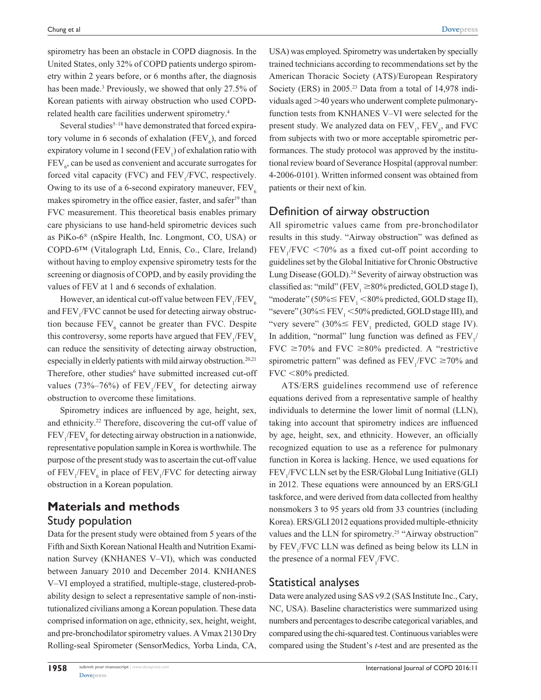spirometry has been an obstacle in COPD diagnosis. In the United States, only 32% of COPD patients undergo spirometry within 2 years before, or 6 months after, the diagnosis has been made.<sup>3</sup> Previously, we showed that only 27.5% of Korean patients with airway obstruction who used COPDrelated health care facilities underwent spirometry.4

Several studies $5-18$  have demonstrated that forced expiratory volume in 6 seconds of exhalation ( $FEV<sub>6</sub>$ ), and forced expiratory volume in 1 second ( $FEV<sub>1</sub>$ ) of exhalation ratio with  $FEV<sub>6</sub>$ , can be used as convenient and accurate surrogates for forced vital capacity (FVC) and  $FEV_1/FVC$ , respectively. Owing to its use of a 6-second expiratory maneuver,  $FEV<sub>6</sub>$ makes spirometry in the office easier, faster, and safer<sup>19</sup> than FVC measurement. This theoretical basis enables primary care physicians to use hand-held spirometric devices such as PiKo-6® (nSpire Health, Inc. Longmont, CO, USA) or COPD-6™ (Vitalograph Ltd, Ennis, Co., Clare, Ireland) without having to employ expensive spirometry tests for the screening or diagnosis of COPD, and by easily providing the values of FEV at 1 and 6 seconds of exhalation.

However, an identical cut-off value between  $\mathrm{FEV}_{1}\mathrm{/FEV}_{6}$ and FEV<sub>1</sub>/FVC cannot be used for detecting airway obstruction because  $FEV_6$  cannot be greater than FVC. Despite this controversy, some reports have argued that  $\rm{FEV}_{1}\rm{/FEV}_{6}$ can reduce the sensitivity of detecting airway obstruction, especially in elderly patients with mild airway obstruction.<sup>20,21</sup> Therefore, other studies<sup>6</sup> have submitted increased cut-off values (73%–76%) of  $FEV_1/FEV_6$  for detecting airway obstruction to overcome these limitations.

Spirometry indices are influenced by age, height, sex, and ethnicity.<sup>22</sup> Therefore, discovering the cut-off value of  $FEV<sub>1</sub>/FEV<sub>6</sub>$  for detecting airway obstruction in a nationwide, representative population sample in Korea is worthwhile. The purpose of the present study was to ascertain the cut-off value of  $FEV_1/FEV_6$  in place of  $FEV_1/FVC$  for detecting airway obstruction in a Korean population.

### **Materials and methods** Study population

Data for the present study were obtained from 5 years of the Fifth and Sixth Korean National Health and Nutrition Examination Survey (KNHANES V–VI), which was conducted between January 2010 and December 2014. KNHANES V–VI employed a stratified, multiple-stage, clustered-probability design to select a representative sample of non-institutionalized civilians among a Korean population. These data comprised information on age, ethnicity, sex, height, weight, and pre-bronchodilator spirometry values. A Vmax 2130 Dry Rolling-seal Spirometer (SensorMedics, Yorba Linda, CA,

USA) was employed. Spirometry was undertaken by specially trained technicians according to recommendations set by the American Thoracic Society (ATS)/European Respiratory Society (ERS) in 2005.<sup>23</sup> Data from a total of 14,978 individuals aged >40 years who underwent complete pulmonaryfunction tests from KNHANES V–VI were selected for the present study. We analyzed data on  $\text{FEV}_1$ ,  $\text{FEV}_6$ , and  $\text{FVC}$ from subjects with two or more acceptable spirometric performances. The study protocol was approved by the institutional review board of Severance Hospital (approval number: 4-2006-0101). Written informed consent was obtained from patients or their next of kin.

### Definition of airway obstruction

All spirometric values came from pre-bronchodilator results in this study. "Airway obstruction" was defined as  $FEV<sub>1</sub>/FVC < 70%$  as a fixed cut-off point according to guidelines set by the Global Initiative for Chronic Obstructive Lung Disease (GOLD).<sup>24</sup> Severity of airway obstruction was classified as: "mild" (FEV<sub>1</sub>  $\geq$ 80% predicted, GOLD stage I), "moderate" (50%  $\leq$  FEV<sub>1</sub> <80% predicted, GOLD stage II), "severe" (30%  $\leq$  FEV<sub>1</sub> <50% predicted, GOLD stage III), and "very severe" (30% $\leq$  FEV<sub>1</sub> predicted, GOLD stage IV). In addition, "normal" lung function was defined as  $FEV_1/$ FVC  $\geq$ 70% and FVC  $\geq$ 80% predicted. A "restrictive spirometric pattern" was defined as  $FEV_1/FVC \ge 70\%$  and  $FVC < 80\%$  predicted.

ATS/ERS guidelines recommend use of reference equations derived from a representative sample of healthy individuals to determine the lower limit of normal (LLN), taking into account that spirometry indices are influenced by age, height, sex, and ethnicity. However, an officially recognized equation to use as a reference for pulmonary function in Korea is lacking. Hence, we used equations for FEV<sub>1</sub>/FVC LLN set by the ESR/Global Lung Initiative (GLI) in 2012. These equations were announced by an ERS/GLI taskforce, and were derived from data collected from healthy nonsmokers 3 to 95 years old from 33 countries (including Korea). ERS/GLI 2012 equations provided multiple-ethnicity values and the LLN for spirometry.<sup>25</sup> "Airway obstruction" by  $FEV_1/FVC$  LLN was defined as being below its LLN in the presence of a normal  $FEV_1/FVC$ .

#### Statistical analyses

Data were analyzed using SAS v9.2 (SAS Institute Inc., Cary, NC, USA). Baseline characteristics were summarized using numbers and percentages to describe categorical variables, and compared using the chi-squared test. Continuous variables were compared using the Student's *t*-test and are presented as the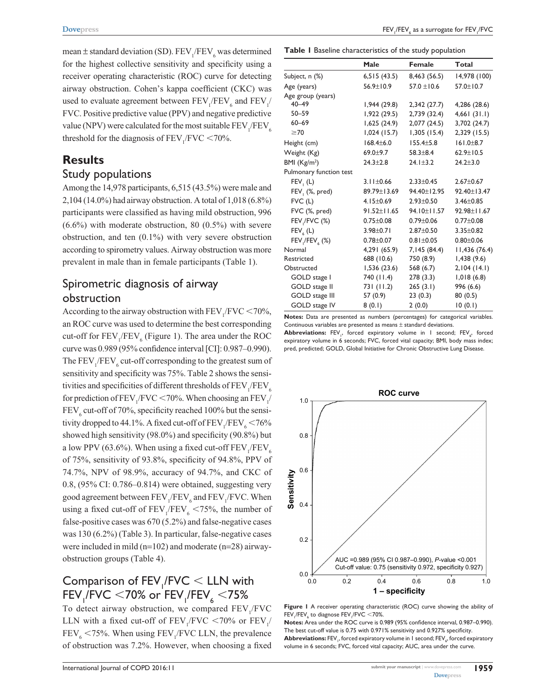mean  $\pm$  standard deviation (SD). FEV<sub>1</sub>/FEV<sub>6</sub> was determined for the highest collective sensitivity and specificity using a receiver operating characteristic (ROC) curve for detecting airway obstruction. Cohen's kappa coefficient (CKC) was used to evaluate agreement between  $\text{FEV}_1/\text{FEV}_6$  and  $\text{FEV}_1/$ FVC. Positive predictive value (PPV) and negative predictive value (NPV) were calculated for the most suitable  $\rm{FEV_{1}/FEV_{6}}$ threshold for the diagnosis of  $FEV_1/FVC < 70\%$ .

# **Results**

### Study populations

Among the 14,978 participants, 6,515 (43.5%) were male and 2,104 (14.0%) had airway obstruction. A total of 1,018 (6.8%) participants were classified as having mild obstruction, 996  $(6.6\%)$  with moderate obstruction, 80  $(0.5\%)$  with severe obstruction, and ten (0.1%) with very severe obstruction according to spirometry values. Airway obstruction was more prevalent in male than in female participants (Table 1).

## Spirometric diagnosis of airway obstruction

According to the airway obstruction with  $\text{FEV}_1/\text{FVC} \le 70\%$ , an ROC curve was used to determine the best corresponding cut-off for  $\text{FEV}_1/\text{FEV}_6$  (Figure 1). The area under the ROC curve was 0.989 (95% confidence interval [CI]: 0.987–0.990). The  $\text{FEV}_1/\text{FEV}_6$  cut-off corresponding to the greatest sum of sensitivity and specificity was 75%. Table 2 shows the sensitivities and specificities of different thresholds of  $\rm{FEV_{1}/FEV_{6}}$ for prediction of  $\text{FEV}_1/\text{FVC} \le 70\%$ . When choosing an  $\text{FEV}_1/$  $\text{FEV}_6$  cut-off of 70%, specificity reached 100% but the sensitivity dropped to 44.1%. A fixed cut-off of  $\rm{FEV}_{1}\rm{/FEV}_{6}$  < 76% showed high sensitivity (98.0%) and specificity (90.8%) but a low PPV (63.6%). When using a fixed cut-off  $\rm{FEV}_{1}\rm{/FEV}_{6}$ of 75%, sensitivity of 93.8%, specificity of 94.8%, PPV of 74.7%, NPV of 98.9%, accuracy of 94.7%, and CKC of 0.8, (95% CI: 0.786–0.814) were obtained, suggesting very good agreement between  $\text{FEV}_1/\text{FEV}_6$  and  $\text{FEV}_1/\text{FVC}$ . When using a fixed cut-off of  $FEV_1/FEV_6 < 75%$ , the number of false-positive cases was 670 (5.2%) and false-negative cases was 130 (6.2%) (Table 3). In particular, false-negative cases were included in mild (n=102) and moderate (n=28) airwayobstruction groups (Table 4).

# Comparison of  $FEV$ <sub>1</sub>/ $FVC$  < LLN with  $\mathsf{FEV}_{_\mathsf{I}}$ /FVC  $<$ 70% or  $\mathsf{FEV}_{_\mathsf{I}}$ /FEV $_{_\mathsf{6}}$   $<$ 75%

To detect airway obstruction, we compared  $FEV<sub>1</sub>/FVC$ LLN with a fixed cut-off of  $FEV_1/FVC < 70\%$  or  $FEV_1/$  $FEV_6 < 75\%$ . When using  $FEV_1/FVC$  LLN, the prevalence of obstruction was 7.2%. However, when choosing a fixed

**Table 1** Baseline characteristics of the study population

|                                 | Male              | Female          | Total           |
|---------------------------------|-------------------|-----------------|-----------------|
| Subject, n (%)                  | 6,515(43.5)       | 8,463 (56.5)    | 14,978 (100)    |
| Age (years)                     | $56.9 \pm 10.9$   | $57.0 \pm 10.6$ | 57.0±10.7       |
| Age group (years)               |                   |                 |                 |
| $40 - 49$                       | 1,944(29.8)       | 2,342(27.7)     | 4,286 (28.6)    |
| $50 - 59$                       | 1,922 (29.5)      | 2,739 (32.4)    | 4,661(31.1)     |
| $60 - 69$                       | 1,625(24.9)       | 2,077 (24.5)    | 3,702 (24.7)    |
| $\geq 70$                       | 1,024(15.7)       | 1,305(15.4)     | 2,329 (15.5)    |
| Height (cm)                     | $168.4 + 6.0$     | $155.4 + 5.8$   | $161.0 + 8.7$   |
| Weight (Kg)                     | $69.0 + 9.7$      | $58.3 \pm 8.4$  | $62.9 \pm 10.5$ |
| BMI $(Kg/m2)$                   | $24.3 + 2.8$      | $24.1 \pm 3.2$  | $24.2 \pm 3.0$  |
| Pulmonary function test         |                   |                 |                 |
| FEV, (L)                        | $3.11 \pm 0.66$   | $2.33 + 0.45$   | $2.67 + 0.67$   |
| $FEV,$ $(\%$ , pred)            | 89.79 ± 13.69     | 94.40±12.95     | 92.40±13.47     |
| $FVC$ (L)                       | $4.15 \pm 0.69$   | $2.93 \pm 0.50$ | $3.46 \pm 0.85$ |
| FVC (%, pred)                   | $91.52 \pm 11.65$ | 94.10 ± 11.57   | 92.98±11.67     |
| FEV <sub>I</sub> /FVC (%)       | $0.75 \pm 0.08$   | $0.79 + 0.06$   | $0.77 + 0.08$   |
| $FEV_{\ell}$ (L)                | $3.98 + 0.71$     | $2.87 + 0.50$   | $3.35 + 0.82$   |
| $FEV,$ /FEV <sub>6</sub> $(\%)$ | $0.78 + 0.07$     | $0.81 + 0.05$   | $0.80 + 0.06$   |
| Normal                          | 4,291 (65.9)      | 7,145 (84.4)    | 11,436 (76.4)   |
| Restricted                      | 688 (10.6)        | 750 (8.9)       | 1,438(9.6)      |
| Obstructed                      | 1,536(23.6)       | 568 (6.7)       | 2,104(14.1)     |
| GOLD stage I                    | 740 (11.4)        | 278(3.3)        | 1,018(6.8)      |
| GOLD stage II                   | 731 (11.2)        | 265(3.1)        | 996 (6.6)       |
| GOLD stage III                  | 57 (0.9)          | 23(0.3)         | 80(0.5)         |
| GOLD stage IV                   | 8(0.1)            | 2(0.0)          | 10(0.1)         |

**Notes:** Data are presented as numbers (percentages) for categorical variables. Continuous variables are presented as means ± standard deviations.

 ${\sf Abbreviations:}$   ${\sf FEV}_i$ , forced expiratory volume in  $1$  second;  ${\sf FEV}_i$ , forced expiratory volume in 6 seconds; FVC, forced vital capacity; BMI, body mass index; pred, predicted; GOLD, Global Initiative for Chronic Obstructive Lung Disease.



**Figure 1** A receiver operating characteristic (ROC) curve showing the ability of  $\mathsf{FEV}_{\mathsf{I}}/\mathsf{FEV}_{\mathsf{6}}$  to diagnose  $\mathsf{FEV}_{\mathsf{I}}/\mathsf{FVC} \leq 70\%.$ 

**Notes:** Area under the ROC curve is 0.989 (95% confidence interval, 0.987–0.990). The best cut-off value is 0.75 with 0.971% sensitivity and 0.927% specificity.  ${\sf Abbreviations: FEV}_\shortparallel,$  forced expiratory volume in 1 second;  ${\sf FEV}_\wp$  forced expiratory volume in 6 seconds; FVC, forced vital capacity; AUC, area under the curve.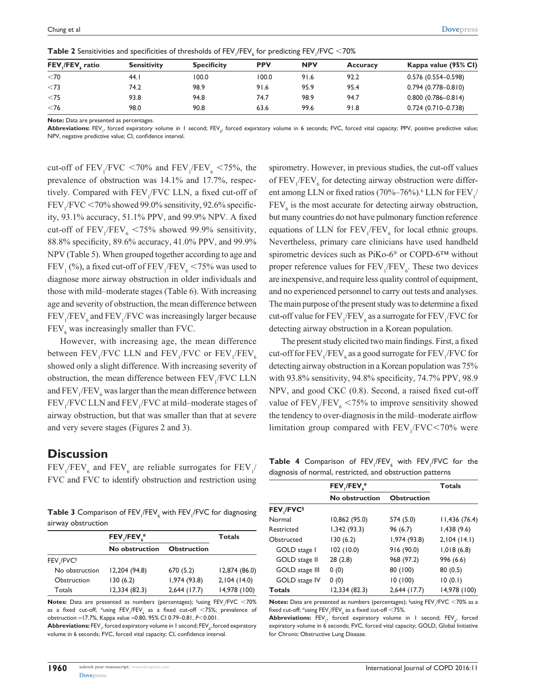| FEV / FEV ratio | <b>Sensitivity</b> | <b>Specificity</b> | <b>PPV</b> | <b>NPV</b> | <b>Accuracy</b> | Kappa value (95% CI)   |
|-----------------|--------------------|--------------------|------------|------------|-----------------|------------------------|
| $<$ 70          | 44. I              | 100.0              | 100.0      | 91.6       | 92.2            | $0.576(0.554 - 0.598)$ |
| < 73            | 74.2               | 98.9               | 91.6       | 95.9       | 95.4            | $0.794(0.778 - 0.810)$ |
| $<$ 75          | 93.8               | 94.8               | 74.7       | 98.9       | 94.7            | $0.800(0.786 - 0.814)$ |
| $<$ 76          | 98.0               | 90.8               | 63.6       | 99.6       | 91.8            | $0.724(0.710 - 0.738)$ |

 ${\sf Table~2}$  Sensitivities and specificities of thresholds of  ${\sf FEV}_1/{\sf FEV}_6$  for predicting  ${\sf FEV}_1/{\sf FVC} <$  70%

**Note:** Data are presented as percentages.

**Abbreviations:** FEV<sub>1</sub>, forced expiratory volume in 1 second; FEV<sub>6</sub>, forced expiratory volume in 6 seconds; FVC, forced vital capacity; PPV, positive predictive value; NPV, negative predictive value; CI, confidence interval.

cut-off of  $FEV_1/FVC < 70\%$  and  $FEV_1/FEV_6 < 75\%$ , the prevalence of obstruction was 14.1% and 17.7%, respectively. Compared with  $FEV_1/FVC$  LLN, a fixed cut-off of  $FEV<sub>1</sub>/FVC < 70%$  showed 99.0% sensitivity, 92.6% specificity, 93.1% accuracy, 51.1% PPV, and 99.9% NPV. A fixed cut-off of  $FEV_1/FEV_6 < 75\%$  showed 99.9% sensitivity, 88.8% specificity, 89.6% accuracy, 41.0% PPV, and 99.9% NPV (Table 5). When grouped together according to age and  ${\rm FEV}_1$  (%), a fixed cut-off of  ${\rm FEV}_1/{\rm FEV}_6$  <75% was used to diagnose more airway obstruction in older individuals and those with mild–moderate stages (Table 6). With increasing age and severity of obstruction, the mean difference between  $\text{FEV}_1/\text{FEV}_6$  and  $\text{FEV}_1/\text{FVC}$  was increasingly larger because  $FEV_6$  was increasingly smaller than FVC.

However, with increasing age, the mean difference between  $\text{FEV}_1/\text{FVC}$  LLN and  $\text{FEV}_1/\text{FVC}$  or  $\text{FEV}_1/\text{FEV}_6$ showed only a slight difference. With increasing severity of obstruction, the mean difference between  $FEV<sub>1</sub>/FVC$  LLN and  $\text{FEV}_1/\text{FEV}_6$  was larger than the mean difference between  $FEV<sub>1</sub>/FVC$  LLN and  $FEV<sub>1</sub>/FVC$  at mild–moderate stages of airway obstruction, but that was smaller than that at severe and very severe stages (Figures 2 and 3).

### **Discussion**

 $FEV_{1}/FEV_{6}$  and  $FEV_{6}$  are reliable surrogates for  $FEV_{1}/FEV_{6}$ FVC and FVC to identify obstruction and restriction using

**Table 3** Comparison of FEV<sub>1</sub>/FEV<sub>6</sub> with FEV<sub>1</sub>/FVC for diagnosing airway obstruction

|                        | FEV / FEV #    | <b>Totals</b>      |               |
|------------------------|----------------|--------------------|---------------|
|                        | No obstruction | <b>Obstruction</b> |               |
| FEV / FVC <sup>§</sup> |                |                    |               |
| No obstruction         | 12,204 (94.8)  | 670(5.2)           | 12,874 (86.0) |
| Obstruction            | 130(6.2)       | 1,974 (93.8)       | 2,104(14.0)   |
| Totals                 | 12,334(82.3)   | $2,644$ (17.7)     | 14,978 (100)  |

**Notes:** Data are presented as numbers (percentages); <sup>§</sup>using FEV<sub>1</sub>/FVC <70% as a fixed cut-off;  $^{\#}$ using  $\mathsf{FEV}_{_1}$ /FEV $_{_6}$  as a fixed cut-off  $<$ 75%; prevalence of obstruction =17.7%, Kappa value =0.80, 95% CI 0.79–0.81, *P*,0.001.

**Abbreviations:** FEV  $_{\shortmid}$  forced expiratory volume in 1 second; FEV  $_{\!\scriptscriptstyle \!\varsigma}$  forced expiratory volume in 6 seconds; FVC, forced vital capacity; CI, confidence interval.

spirometry. However, in previous studies, the cut-off values of  $\text{FEV}_1/\text{FEV}_6$  for detecting airway obstruction were different among LLN or fixed ratios (70%–76%).<sup>6</sup> LLN for  $\rm FEV_{1/}$  $FEV<sub>6</sub>$  is the most accurate for detecting airway obstruction, but many countries do not have pulmonary function reference equations of LLN for  $FEV_1/FEV_6$  for local ethnic groups. Nevertheless, primary care clinicians have used handheld spirometric devices such as PiKo-6® or COPD-6™ without proper reference values for  $\text{FEV}_1/\text{FEV}_6$ . These two devices are inexpensive, and require less quality control of equipment, and no experienced personnel to carry out tests and analyses. The main purpose of the present study was to determine a fixed cut-off value for  $\rm{FEV_{_1}/FEV_{_6}}$  as a surrogate for  $\rm{FEV_{_1}/FVC}$  for detecting airway obstruction in a Korean population.

The present study elicited two main findings. First, a fixed cut-off for  $\rm{FEV_{1}/FEV_{6}}$  as a good surrogate for  $\rm{FEV_{1}/FVC}$  for detecting airway obstruction in a Korean population was 75% with 93.8% sensitivity, 94.8% specificity, 74.7% PPV, 98.9 NPV, and good CKC (0.8). Second, a raised fixed cut-off value of  $FEV_1/FEV_6 < 75%$  to improve sensitivity showed the tendency to over-diagnosis in the mild–moderate airflow limitation group compared with  $FEV<sub>1</sub>/FVC < 70%$  were

**Table 4** Comparison of  $FEV_1/FEV_6$  with  $FEV_1/FVC$  for the diagnosis of normal, restricted, and obstruction patterns

|                | $FEV$ <sub>I</sub> / $FEV$ <sup>#</sup> | <b>Totals</b>      |               |
|----------------|-----------------------------------------|--------------------|---------------|
|                | No obstruction                          | <b>Obstruction</b> |               |
| FEV,/FVC§      |                                         |                    |               |
| Normal         | 10,862 (95.0)                           | 574 (5.0)          | 11,436 (76.4) |
| Restricted     | 1,342(93.3)                             | 96 (6.7)           | 1,438(9.6)    |
| Obstructed     | 130(6.2)                                | 1,974 (93.8)       | 2,104(14.1)   |
| GOLD stage I   | 102(10.0)                               | 916 (90.0)         | 1,018(6.8)    |
| GOLD stage II  | 28(2.8)                                 | 968 (97.2)         | 996 (6.6)     |
| GOLD stage III | 0(0)                                    | 80 (100)           | 80(0.5)       |
| GOLD stage IV  | 0(0)                                    | 10(100)            | 10(0.1)       |
| <b>Totals</b>  | 12,334 (82.3)                           | 2,644 (17.7)       | 14,978 (100)  |

**Notes:** Data are presented as numbers (percentages); §using FEV<sub>1</sub>/FVC <70% as a fixed cut-off;  $^{\#}$ using FEV<sub>1</sub>/FEV<sub>6</sub> as a fixed cut-off  $<$ 75%.

 ${\sf Abbreviations:}$   ${\sf FEV}_i$ , forced expiratory volume in 1 second;  ${\sf FEV}_i$ , forced expiratory volume in 6 seconds; FVC, forced vital capacity; GOLD, Global Initiative for Chronic Obstructive Lung Disease.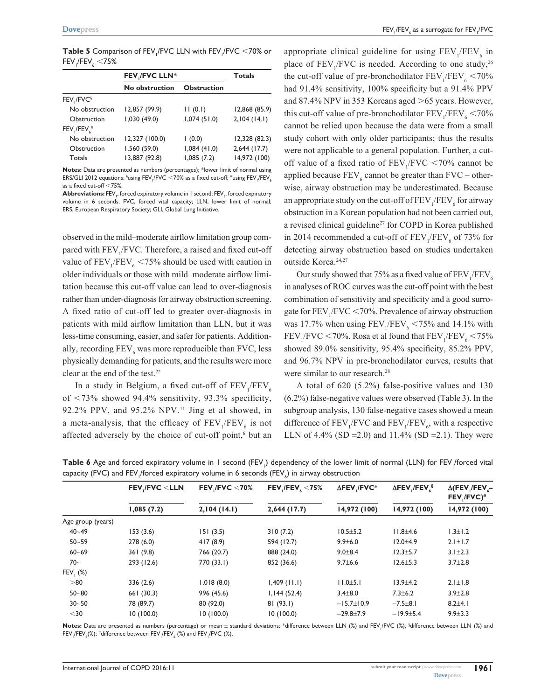**Table 5** Comparison of FEV<sub>1</sub>/FVC LLN with FEV<sub>1</sub>/FVC  $\leq$ 70% or  $\mathsf{FEV}_\mathsf{i}/\mathsf{FEV}_\mathsf{6} <$ 75%

| <b>Totals</b>  |  |
|----------------|--|
|                |  |
|                |  |
| 12,868 (85.9)  |  |
| 2,104(14.1)    |  |
|                |  |
| 12,328 (82.3)  |  |
| $2,644$ (17.7) |  |
| 14,972 (100)   |  |
|                |  |

**Notes:** Data are presented as numbers (percentages); \*lower limit of normal using ERS/GLI 2012 equations;  $^{\S}$ using FEV<sub>1</sub>/FVC  $<$ 70% as a fixed cut-off;  $^{\#}$ using FEV<sub>1</sub>/FEV<sub>6</sub> as a fixed cut-off  $<$ 75%.

**Abbreviations:** FEV<sub>1</sub>, forced expiratory volume in 1 second; FEV<sub>6</sub>, forced expiratory volume in 6 seconds; FVC, forced vital capacity; LLN, lower limit of normal; ERS, European Respiratory Society; GLI, Global Lung Initiative.

observed in the mild–moderate airflow limitation group compared with FEV<sub>1</sub>/FVC. Therefore, a raised and fixed cut-off value of  $FEV_1/FEV_6 < 75%$  should be used with caution in older individuals or those with mild–moderate airflow limitation because this cut-off value can lead to over-diagnosis rather than under-diagnosis for airway obstruction screening. A fixed ratio of cut-off led to greater over-diagnosis in patients with mild airflow limitation than LLN, but it was less-time consuming, easier, and safer for patients. Additionally, recording  $\text{FEV}_6$  was more reproducible than FVC, less physically demanding for patients, and the results were more clear at the end of the test.<sup>22</sup>

In a study in Belgium, a fixed cut-off of  $\text{FEV}_1/\text{FEV}_6$ of  $<$ 73% showed 94.4% sensitivity, 93.3% specificity, 92.2% PPV, and 95.2% NPV.11 Jing et al showed, in a meta-analysis, that the efficacy of  $FEV_1/FEV_6$  is not affected adversely by the choice of cut-off point,<sup>6</sup> but an

appropriate clinical guideline for using  $\text{FEV}_1/\text{FEV}_6$  in place of  $FEV_1/FVC$  is needed. According to one study,<sup>26</sup> the cut-off value of pre-bronchodilator  $\text{FEV}_1/\text{FEV}_6 < 70\%$ had 91.4% sensitivity, 100% specificity but a 91.4% PPV and 87.4% NPV in 353 Koreans aged  $>65$  years. However, this cut-off value of pre-bronchodilator  $\text{FEV}_1/\text{FEV}_6 < 70\%$ cannot be relied upon because the data were from a small study cohort with only older participants; thus the results were not applicable to a general population. Further, a cutoff value of a fixed ratio of  $FEV_1/FVC < 70\%$  cannot be applied because  $\text{FEV}_6$  cannot be greater than  $\text{FVC}-\text{other}$ wise, airway obstruction may be underestimated. Because an appropriate study on the cut-off of  $\rm{FEV_{1}/FEV_{6}}$  for airway obstruction in a Korean population had not been carried out, a revised clinical guideline<sup>27</sup> for COPD in Korea published in 2014 recommended a cut-off of  $\text{FEV}_1/\text{FEV}_6$  of 73% for detecting airway obstruction based on studies undertaken outside Korea.<sup>24,27</sup>

Our study showed that 75% as a fixed value of  $\rm{FEV_{1}/FEV_{6}}$ in analyses of ROC curves was the cut-off point with the best combination of sensitivity and specificity and a good surrogate for  $\text{FEV}_1/\text{FVC} \le 70\%$ . Prevalence of airway obstruction was 17.7% when using  $FEV_1/FEV_6 < 75%$  and 14.1% with  $\rm{FEV_{1}/FVC}$  <70%. Rosa et al found that  $\rm{FEV_{1}/FEV_{6}}$  <75% showed 89.0% sensitivity, 95.4% specificity, 85.2% PPV, and 96.7% NPV in pre-bronchodilator curves, results that were similar to our research.<sup>28</sup>

A total of 620 (5.2%) false-positive values and 130 (6.2%) false-negative values were observed (Table 3). In the subgroup analysis, 130 false-negative cases showed a mean difference of  $\text{FEV}_1/\text{FVC}$  and  $\text{FEV}_1/\text{FEV}_6$ , with a respective LLN of 4.4% (SD = 2.0) and 11.4% (SD = 2.1). They were

|                      | <b>FEV, FVC <lln< b=""></lln<></b> | FEV / FVC $<$ 70%<br>2,104(14.1) | FEV $/$ FEV $\zeta$ < 75%<br>$2,644$ (17.7) | $\Delta$ FEV /FVC*<br>14,972 (100) | $\Delta$ FEV /FEV §<br>14,972 (100) | $\Delta$ (FEV <sub>I</sub> /FEV <sub>I</sub> -<br>FEV,/FVC)#<br>14,972 (100) |
|----------------------|------------------------------------|----------------------------------|---------------------------------------------|------------------------------------|-------------------------------------|------------------------------------------------------------------------------|
|                      | 1,085(7.2)                         |                                  |                                             |                                    |                                     |                                                                              |
| Age group (years)    |                                    |                                  |                                             |                                    |                                     |                                                                              |
| $40 - 49$            | 153(3.6)                           | 151(3.5)                         | 310(7.2)                                    | $10.5 \pm 5.2$                     | $11.8 + 4.6$                        | $1.3 \pm 1.2$                                                                |
| $50 - 59$            | 278(6.0)                           | 417(8.9)                         | 594 (12.7)                                  | $9.9 \pm 6.0$                      | $12.0 + 4.9$                        | $2.1 \pm 1.7$                                                                |
| $60 - 69$            | 361(9.8)                           | 766 (20.7)                       | 888 (24.0)                                  | $9.0 + 8.4$                        | $12.3 + 5.7$                        | $3.1 \pm 2.3$                                                                |
| $70-$                | 293 (12.6)                         | 770 (33.1)                       | 852 (36.6)                                  | $9.7 \pm 6.6$                      | $12.6 \pm 5.3$                      | $3.7 \pm 2.8$                                                                |
| FEV <sub>1</sub> (%) |                                    |                                  |                                             |                                    |                                     |                                                                              |
| > 80                 | 336(2.6)                           | 1,018(8.0)                       | $1,409$ (11.1)                              | 11.0±5.1                           | $13.9 \pm 4.2$                      | $2.1 \pm 1.8$                                                                |
| $50 - 80$            | 661(30.3)                          | 996 (45.6)                       | 1,144(52.4)                                 | $3.4 \pm 8.0$                      | $7.3 \pm 6.2$                       | $3.9 \pm 2.8$                                                                |
| $30 - 50$            | 78 (89.7)                          | 80 (92.0)                        | 81(93.1)                                    | $-15.7 \pm 10.9$                   | $-7.5 \pm 8.1$                      | $8.2 + 4.1$                                                                  |
| $30$                 | 10(100.0)                          | 10(100.0)                        | 10(100.0)                                   | $-29.8+7.9$                        | $-19.9 \pm 5.4$                     | $9.9 \pm 3.3$                                                                |

**Table 6** Age and forced expiratory volume in 1 second (FEV<sub>1</sub>) dependency of the lower limit of normal (LLN) for FEV<sub>1</sub>/forced vital capacity (FVC) and FEV<sub>I</sub>/forced expiratory volume in 6 seconds (FEV $_{\rm c}$ ) in airway obstruction

**Notes:** Data are presented as numbers (percentage) or mean ± standard deviations; \*difference between LLN (%) and FEV<sub>1</sub>/FVC (%), §difference between LLN (%) and  $\mathsf{FEV}_{\scriptscriptstyle \rm I}$ /FEV $_{\scriptscriptstyle 6}$ (%); #difference between  $\mathsf{FEV}_{\scriptscriptstyle \rm I}$ /FEV $_{\scriptscriptstyle 6}$  (%) and  $\mathsf{FEV}_{\scriptscriptstyle \rm I}$ /FVC (%).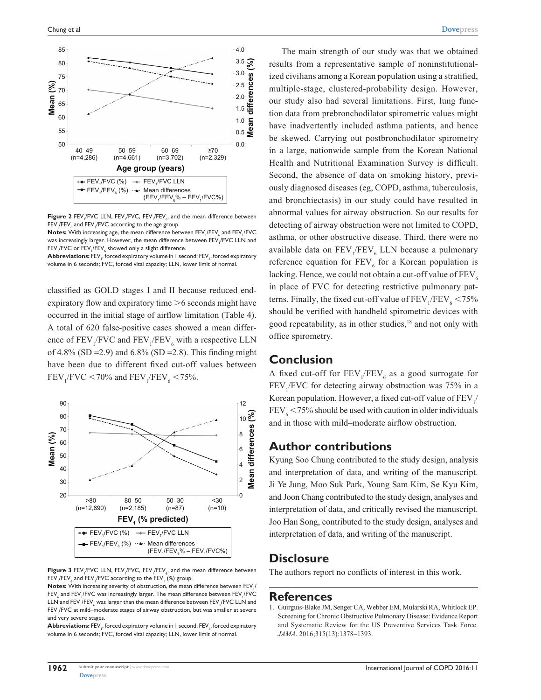

**Figure 2** FEV<sub>1</sub>/FVC LLN, FEV<sub>1</sub>/FVC, FEV<sub>1</sub>/FEV<sub>6</sub>, and the mean difference between  $\mathsf{FEV}_\text{}_i\mathsf{/FEV}_\text{}_6$  and  $\mathsf{FEV}_\text{}_i\mathsf{/FVC}$  according to the age group.

 ${\sf Notes}\colon$  With increasing age, the mean difference between  ${\sf FEV}_/{{\sf FEV}_\epsilon}$  and  ${\sf FEV}_/{{\sf FVC}}$ was increasingly larger. However, the mean difference between FEV<sub>I</sub>/FVC LLN and  $\mathsf{FEV}_\parallel$ /FVC or  $\mathsf{FEV}_\parallel$ /FEV $_\epsilon$  showed only a slight difference.

 ${\sf Abbreviations: FEV}_\shortparallel,$  forced expiratory volume in 1 second;  ${\sf FEV}_\wp$  forced expiratory volume in 6 seconds; FVC, forced vital capacity; LLN, lower limit of normal.

classified as GOLD stages I and II because reduced endexpiratory flow and expiratory time  $\geq 6$  seconds might have occurred in the initial stage of airflow limitation (Table 4). A total of 620 false-positive cases showed a mean difference of  $\text{FEV}_1/\text{FVC}$  and  $\text{FEV}_1/\text{FEV}_6$  with a respective LLN of 4.8% (SD = 2.9) and 6.8% (SD = 2.8). This finding might have been due to different fixed cut-off values between  $FEV_{1}/FVC < 70\%$  and  $FEV_{1}/FEV_{6} < 75\%$ .



**Figure 3** FEV<sub>1</sub>/FVC LLN, FEV<sub>1</sub>/FVC, FEV<sub>1</sub>/FEV<sub>6</sub>, and the mean difference between  $\mathsf{FEV}_1\mathsf{/FEV}_6$  and  $\mathsf{FEV}_1\mathsf{/FVC}$  according to the  $\mathsf{FEV}_1$   $(\%)$  group.

**Notes:** With increasing severity of obstruction, the mean difference between FEV<sub>1</sub>/  $\mathsf{FEV}_\epsilon$  and  $\mathsf{FEV}_\parallel/\mathsf{FVC}$  was increasingly larger. The mean difference between  $\mathsf{FEV}_\parallel/\mathsf{FVC}$ LLN and FEV ${}_i$ /FEV ${}_\epsilon$  was larger than the mean difference between FEV ${}_l$ /FVC LLN and FEV<sub>1</sub>/FVC at mild–moderate stages of airway obstruction, but was smaller at severe and very severe stages.

**Abbreviations:** FEV  $_{\shortmid}$  forced expiratory volume in 1 second; FEV  $_{\!\scriptscriptstyle \!\varsigma}$  forced expiratory volume in 6 seconds; FVC, forced vital capacity; LLN, lower limit of normal.

The main strength of our study was that we obtained results from a representative sample of noninstitutionalized civilians among a Korean population using a stratified, multiple-stage, clustered-probability design. However, our study also had several limitations. First, lung function data from prebronchodilator spirometric values might have inadvertently included asthma patients, and hence be skewed. Carrying out postbronchodilator spirometry in a large, nationwide sample from the Korean National Health and Nutritional Examination Survey is difficult. Second, the absence of data on smoking history, previously diagnosed diseases (eg, COPD, asthma, tuberculosis, and bronchiectasis) in our study could have resulted in abnormal values for airway obstruction. So our results for detecting of airway obstruction were not limited to COPD, asthma, or other obstructive disease. Third, there were no available data on  $FEV_1/FEV_6$  LLN because a pulmonary reference equation for  $FEV_6$  for a Korean population is lacking. Hence, we could not obtain a cut-off value of  $FEV<sub>6</sub>$ in place of FVC for detecting restrictive pulmonary patterns. Finally, the fixed cut-off value of  $\rm{FEV}_{1}\rm{/FEV}_{6}$  <75% should be verified with handheld spirometric devices with good repeatability, as in other studies,<sup>18</sup> and not only with office spirometry.

### **Conclusion**

A fixed cut-off for  $\text{FEV}_1/\text{FEV}_6$  as a good surrogate for  $FEV<sub>1</sub>/FVC$  for detecting airway obstruction was 75% in a Korean population. However, a fixed cut-off value of  $\rm{FEV}_{1/}$  $FEV<sub>6</sub> < 75%$  should be used with caution in older individuals and in those with mild–moderate airflow obstruction.

### **Author contributions**

Kyung Soo Chung contributed to the study design, analysis and interpretation of data, and writing of the manuscript. Ji Ye Jung, Moo Suk Park, Young Sam Kim, Se Kyu Kim, and Joon Chang contributed to the study design, analyses and interpretation of data, and critically revised the manuscript. Joo Han Song, contributed to the study design, analyses and interpretation of data, and writing of the manuscript.

### **Disclosure**

The authors report no conflicts of interest in this work.

#### **References**

1. Guirguis-Blake JM, Senger CA, Webber EM, Mularski RA, Whitlock EP. Screening for Chronic Obstructive Pulmonary Disease: Evidence Report and Systematic Review for the US Preventive Services Task Force. *JAMA*. 2016;315(13):1378–1393.